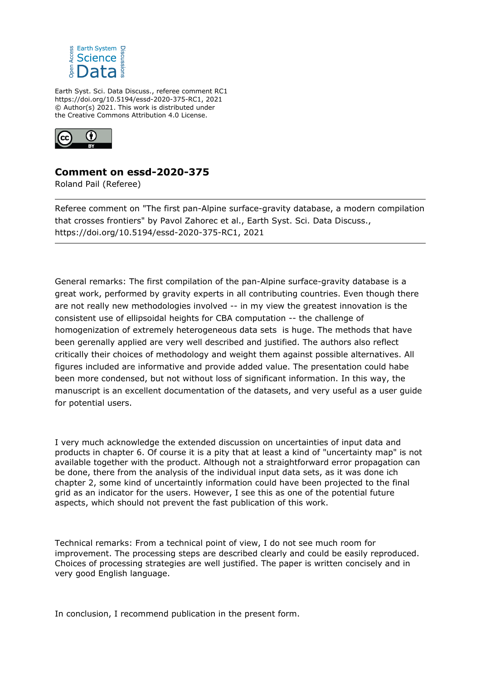

Earth Syst. Sci. Data Discuss., referee comment RC1 https://doi.org/10.5194/essd-2020-375-RC1, 2021 © Author(s) 2021. This work is distributed under the Creative Commons Attribution 4.0 License.



## **Comment on essd-2020-375**

Roland Pail (Referee)

Referee comment on "The first pan-Alpine surface-gravity database, a modern compilation that crosses frontiers" by Pavol Zahorec et al., Earth Syst. Sci. Data Discuss., https://doi.org/10.5194/essd-2020-375-RC1, 2021

General remarks: The first compilation of the pan-Alpine surface-gravity database is a great work, performed by gravity experts in all contributing countries. Even though there are not really new methodologies involved -- in my view the greatest innovation is the consistent use of ellipsoidal heights for CBA computation -- the challenge of homogenization of extremely heterogeneous data sets is huge. The methods that have been gerenally applied are very well described and justified. The authors also reflect critically their choices of methodology and weight them against possible alternatives. All figures included are informative and provide added value. The presentation could habe been more condensed, but not without loss of significant information. In this way, the manuscript is an excellent documentation of the datasets, and very useful as a user guide for potential users.

I very much acknowledge the extended discussion on uncertainties of input data and products in chapter 6. Of course it is a pity that at least a kind of "uncertainty map" is not available together with the product. Although not a straightforward error propagation can be done, there from the analysis of the individual input data sets, as it was done ich chapter 2, some kind of uncertaintly information could have been projected to the final grid as an indicator for the users. However, I see this as one of the potential future aspects, which should not prevent the fast publication of this work.

Technical remarks: From a technical point of view, I do not see much room for improvement. The processing steps are described clearly and could be easily reproduced. Choices of processing strategies are well justified. The paper is written concisely and in very good English language.

In conclusion, I recommend publication in the present form.